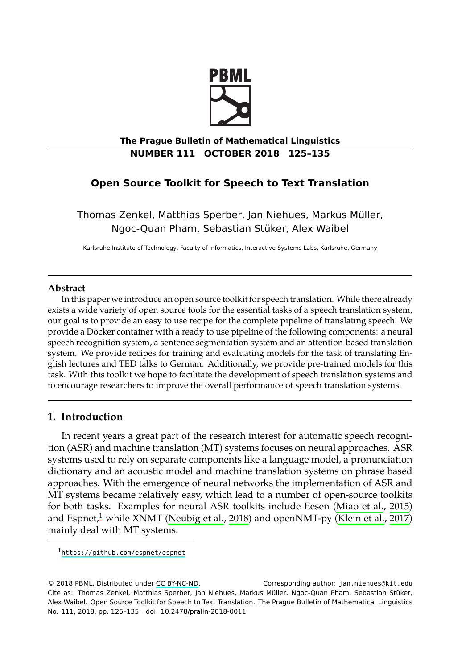

# **The Prague Bulletin of Mathematical Linguistics NUMBER 111 OCTOBER 2018 125–135**

# **Open Source Toolkit for Speech to Text Translation**

Thomas Zenkel, Matthias Sperber, Jan Niehues, Markus Müller, Ngoc-Quan Pham, Sebastian Stüker, Alex Waibel

Karlsruhe Institute of Technology, Faculty of Informatics, Interactive Systems Labs, Karlsruhe, Germany

### **Abstract**

In this paper we introduce an open source toolkit for speech translation. While there already exists a wide variety of open source tools for the essential tasks of a speech translation system, our goal is to provide an easy to use recipe for the complete pipeline of translating speech. We provide a Docker container with a ready to use pipeline of the following components: a neural speech recognition system, a sentence segmentation system and an attention-based translation system. We provide recipes for training and evaluating models for the task of translating English lectures and TED talks to German. Additionally, we provide pre-trained models for this task. With this toolkit we hope to facilitate the development of speech translation systems and to encourage researchers to improve the overall performance of speech tra[nslation systems.](#page-9-0)

# **1. Introduction**

In recent years a great part of the research interest for automatic speech recognitio[n \(ASR\) and machine translati](https://github.com/espnet/espnet)on (MT) systems focuses on neural approaches. ASR systems used to rely on separate components like a language model, a pronunciation dictionary and an acoust[ic model a](http://creativecommons.org/licenses/by-nc-nd/3.0/)nd machine translation systems on phrase based approaches. With the emergence of neural networks the implementation of ASR and MT systems became relatively easy, which lead to a number of open-source toolkits for both tasks. Examples for neural ASR toolkits include Eesen (Miao et al., 2015) and Espnet,<sup>1</sup> while XNMT (Neubig et al., 2018) and openNMT-py (Klein et al., 2017) mainly deal with MT systems.

<sup>1</sup>https://github.com/espnet/espnet

<sup>© 2018</sup> PBML. Distributed under CC BY-NC-ND. Corresponding author: jan.niehues@kit.edu Cite as: Thomas Zenkel, Matthias Sperber, Jan Niehues, Markus Müller, Ngoc-Quan Pham, Sebastian Stüker, Alex Waibel. Open Source Toolkit for Speech to Text Translation. The Prague Bulletin of Mathematical Linguistics No. 111, 2018, pp. 125–135. doi: 10.2478/pralin-2018-0011.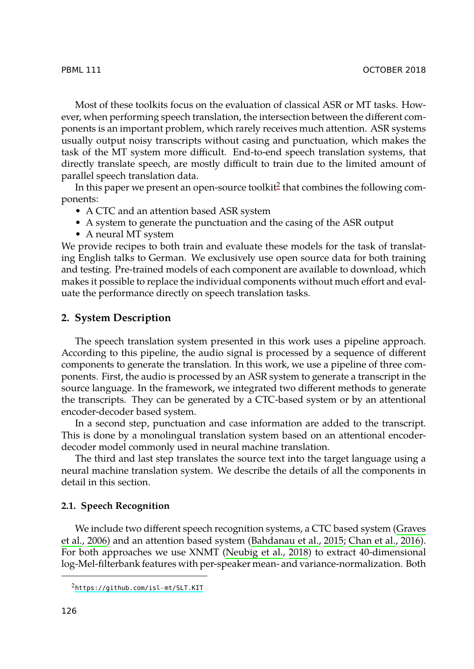## PBML 111 OCTOBER 2018

Most of these toolkits focus on the evaluation of classical ASR or MT tasks. However, when performing speech translation, the intersection between the different components is an important problem, which rarely receives much attention. ASR systems usually output noisy transcripts without casing and punctuation, which makes the task of the MT system more difficult. End-to-end speech translation systems, that directly translate speech, are mostly difficult to train due to the limited amount of parallel speech translation data.

In this paper we present an open-source toolkit $^2$  that combines the following components:

- A CTC and an attention based ASR system
- A system to generate the punctuation and the casing of the ASR output
- A neural MT system

We provide recipes to both train and evaluate these models for the task of translating English talks to German. We exclusively use open source data for both training and testing. Pre-trained models of each component are available to download, which makes it possible to replace the individual components without much effort and evaluate the performance directly on speech translation tasks.

## **2. System Description**

The speech translation system presented in this work uses a pipeline approach. According to this pipeline, the audio signal is processed by a sequence of different components to generate the translation. In this work, we use a pipeline of three components. First, the audio is processed by an ASR system to generate a transcript in the source language. In the framework, we integrated two different methods to generate the transcripts. They can be generated by a CTC-based system or by an attentional encoder-decoder based system.

In a second step, punctuation and case information are added to the tra[nscript.](#page-9-1) [This](#page-9-1) i[s don](#page-9-1)e by a monolingual translation [system based on an a](#page-8-0)t[tentional encoder](#page-8-1)decoder model commonly used in ne[ural machine t](#page-9-2)r[ansla](#page-9-2)tion.

The third and last step translates the source text into the target language using a neural machine translation system. We describe the details of all the components in de[tail in this section.](https://github.com/isl-mt/SLT.KIT)

# **2.1. Speech Recognition**

We include two different speech recognition systems, a CTC based system (Graves et al., 2006) and an attention based system (Bahdanau et al., 2015; Chan et al., 2016). For both approaches we use XNMT (Neubig et al., 2018) to extract 40-dimensional log-Mel-filterbank features with per-speaker mean- and variance-normalization. Both

<sup>2</sup>https://github.com/isl-mt/SLT.KIT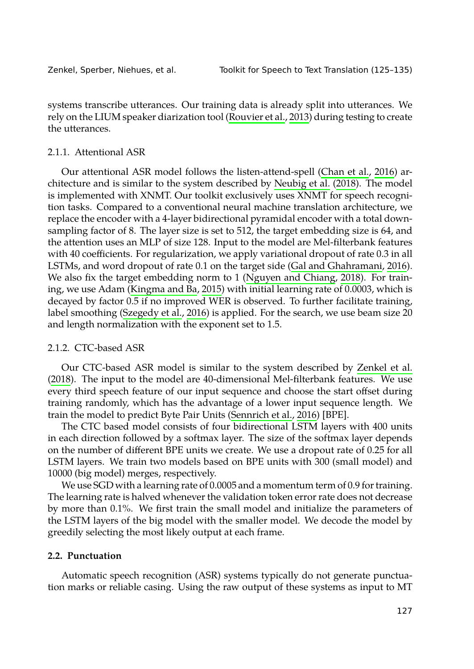|  |  | Zenkel, Sperber, Niehues, et al. |  |  |
|--|--|----------------------------------|--|--|
|--|--|----------------------------------|--|--|

Toolkit for Sp[eech to Text Tr](#page-9-2)[a](#page-8-1)[nslat](#page-9-2)[ion](#page-8-1) ([125–1](#page-8-1)35)

systems transcribe utterances. Our training data is already split into utterances. We rely on the LIUM speaker diarization tool (Rouvier et al., 2013) during testing to create the utterances.

### 2.1.1. Attentional ASR

Our attentional ASR model follows the li[sten-attend-spell \(Chan et a](#page-9-3)l., 2016) architecture and is si[milar to the system d](#page-9-4)escribed by Neubig et al. (2018). The model is implemented with XNMT. Our toolkit exclusively uses XNMT for speech recognition tasks. Com[pared to a conventio](#page-10-0)nal neural machine translation architecture, we replace the encoder with a 4-layer bidirectional pyramidal encoder with a total downsampling factor of 8. The layer size is set to 512, the target embedding size is 64, and the attention uses an MLP of size 128. Input to the model are Mel-filterbank features with 40 coefficients. For regularization, we apply variational dropout of [rate 0.3 in all](#page-10-1) [LSTM](#page-10-1)s, and word dropout of rate 0.1 on the target side (Gal and Ghahramani, 2016). We also fix the target embedding norm to 1 (Nguyen and Chiang, 2018). For training, we use Adam (Kingma and Ba, 2015) with initial learning rate of 0.0003, which is decayed by factor 0.5 if no improved WE[R is observed. To furt](#page-10-2)her facilitate training, label smoothing (Szegedy et al., 2016) is applied. For the search, we use beam size 20 and length normalization with the exponent set to 1.5.

# 2.1.2. CTC-based ASR

Our CTC-based ASR model is similar to the system described by Zenkel et al. (2018). The input to the model are 40-dimensional Mel-filterbank features. We use every third speech feature of our input sequence and choose the start offset during training randomly, which has the advantage of a lower input sequence length. We train the model to predict Byte Pair Units (Sennrich et al., 2016) [BPE].

The CTC based model consists of four bidirectional LSTM layers with 400 units in each direction followed by a softmax layer. The size of the softmax layer depends on the number of different BPE units we create. We use a dropout rate of 0.25 for all LSTM layers. We train two models based on BPE units with 300 (small model) and 10000 (big model) merges, respectively.

We use SGD with a learning rate of 0.0005 and a momentum term of 0.9 for training. The learning rate is halved whenever the validation token error rate does not decrease by more than 0.1%. We first train the small model and initialize the parameters of the LSTM layers of the big model with the smaller model. We decode the model by greedily selecting the most likely output at each frame.

# **2.2. Punctuation**

Automatic speech recognition (ASR) systems typically do not generate punctuation marks or reliable casing. Using the raw output of these systems as input to MT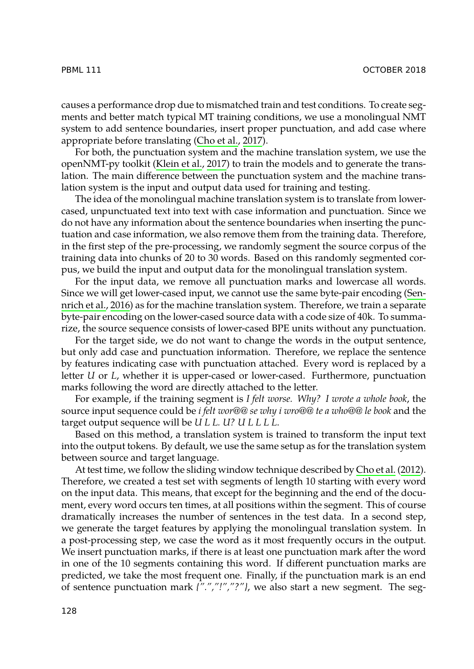### PBML 111 OCTOBER 2018

causes a performance drop due to mismatched train and test conditions. To create segments and better match typical MT training conditions, we use a monolingual NMT system to add sentence boundaries, insert proper punctuation, and add case where appropriate before translating (Cho et al., 2017).

For both, the punctuation system and the machine translation system, we use the openNMT-py toolkit (Klein et al., 2017) to train the models and to generate the translation. The main difference between the punctuation system and the machine t[rans](#page-10-2)[lation syste](#page-10-2)m is the input and output data used for training and testing.

The ide[a of th](#page-10-2)e monolingual machine translation system is to translate from lowercased, unpunctuated text into text with case information and punctuation. Since we do not have any information about the sentence boundaries when inserting the punctuation and case information, we also remove them from the training data. Therefore, in the first step of the pre-processing, we randomly segment the source corpus of the training data into chunks of 20 to 30 words. Based on this randomly segmented corpus, we build the input and output data for the monolingual translation system.

For the input data, we remove all punctuation marks and lowercase all words. Since we will get lower-cased input, we cannot use the same byte-pair encoding (Sennrich et al., 2016) as for the machine translation system. Therefore, we train a separate byte-pair encoding on the lower-cased source data with a code size of 40k. To summarize, the source sequence consists of lower-cased BPE units without any punctuation.

For the target side, we do not want to change the words in the output sentence, but only add case and punctuation information. Therefore, we replace the sentence by features indicating case with punctuation attached. Every word [is replaced by](#page-8-2) a letter *U* or *L*, whether it is upper-cased or lower-cased. Furthermore, punctuation marks following the word are directly attached to the letter.

For example, if the training segment is *I felt worse. Why? I wrote a whole book*, the source input sequence could be *i felt wor@@ se why i wro@@ te a who@@ le book* and the target output sequence will be *U L L. U? U L L L L*.

Based on this method, a translation system is trained to transform the input text into the output tokens. By default, we use the same setup as for the translation system between source and target language.

At test time, we follow the sliding window technique described by Cho et al. (2012). Therefore, we created a test set with segments of length 10 starting with every word on the input data. This means, that except for the beginning and the end of the document, every word occurs ten times, at all positions within the segment. This of course dramatically increases the number of sentences in the test data. In a second step, we generate the target features by applying the monolingual translation system. In a post-processing step, we case the word as it most frequently occurs in the output. We insert punctuation marks, if there is at least one punctuation mark after the word in one of the 10 segments containing this word. If different punctuation marks are predicted, we take the most frequent one. Finally, if the punctuation mark is an end of sentence punctuation mark *{".","!","?"}*, we also start a new segment. The seg-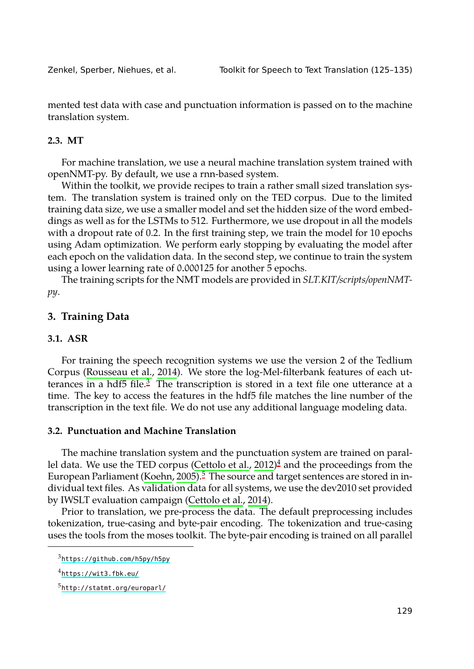Zenkel, Sperber, Niehues, et al. Toolkit for Speech to Text Translation (125–135)

mented test data with case and punctuation information is passed on to the machine translation system.

# **2.3. MT**

For machine translation, we use a neural machine translation system trained with openNMT-py. By default, we use a rnn-based system.

Within the toolkit, we provide recipes to train a rather small sized translation system. The translation system is trained only on the TED corpus. Due to the limited training data size, we use a smaller model and set the hidden size of the word embeddings as well as for the LSTMs to 512. Furthermore, we use dropout in all the models with a dropout rate of 0.2. In the first training step, we train the model for 10 epochs using Adam optimization. We perform early stopping by evaluating the model after each epo[ch on the valida](#page-9-5)t[ion d](#page-9-5)ata. In the second step, we continue to train the system using a lower learning [r](#page-4-0)ate of 0.000125 for another 5 epochs.

The training scripts for the NMT models are provided in *SLT.KIT/scripts/openNMTpy*.

# **3. Training Data**

### **3.1. ASR**

For training the sp[eech recogn](#page-9-6)[it](#page-8-3)[i](#page-4-2)[on systems we u](#page-8-3)[s](#page-4-1)e the version 2 of the Tedlium Corpus (Rousseau et al., 2014). We store the log-Mel-filterbank features of each utterances in a hdf5 file. $3$  The tra[nscription is stored](#page-8-4) in a text file one utterance at a time. The key to access the features in the hdf5 file matches the line number of the transcription in the text file. We do not use any additional language modeling data.

# **3.2. Punctuation and Machine Translation**

<span id="page-4-2"></span><span id="page-4-1"></span><span id="page-4-0"></span>[The machine translation s](https://github.com/h5py/h5py)ystem and the punctuation system are trained on parallel [data. We use the T](https://wit3.fbk.eu/)ED corpus (Cettolo et al., 2012) <sup>4</sup> and the proceedings from the Eu[ropean Parliament \(Koeh](http://statmt.org/europarl/)n, 2005).<sup>5</sup> The source and target sentences are stored in individual text files. As validation data for all systems, we use the dev2010 set provided by IWSLT evaluation campaign (Cettolo et al., 2014).

Prior to translation, we pre-process the data. The default preprocessing includes tokenization, true-casing and byte-pair encoding. The tokenization and true-casing uses the tools from the moses toolkit. The byte-pair encoding is trained on all parallel

<sup>3</sup>https://github.com/h5py/h5py

<sup>4</sup>https://wit3.fbk.eu/

<sup>5</sup>http://statmt.org/europarl/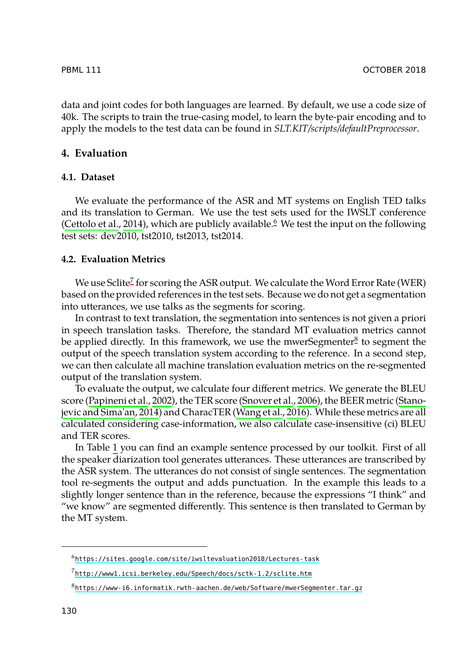#### PBML 111 OCTOBER 2018

data and joint codes for both languages are learn[ed](#page-5-0). By default, we use a code size of [40k. The scripts to t](#page-8-4)rain the true-casing model, to learn the byte-pair encoding and to apply the models to the test data can be found in *SLT.KIT/scripts/defaultPreprocessor*.

# **4. Evaluation**

# **4.1. Dataset**

We evaluate the performance of the ASR and MT systems on English TED talks and its translation to German. We use the test sets used for the IWSLT conference (Cettolo et al., 2014), which are publicly available.<sup>6</sup> We test the input [o](#page-5-1)n the following test sets: dev2010, tst2010, tst2013, tst2014.

### **4.2. Evaluation Metrics**

We use Sclite $^7$  for scoring the ASR output. We calculate the Word Error Rate (WER) based [on the provided refe](#page-9-7)rences in the tes[t sets. Because we d](#page-10-3)o not get a segme[ntation](#page-10-4) [into utterances, we use](#page-10-4) talks as the seg[ments for scoring.](#page-10-5)

In contrast to text translation, the segmentation into sentences is not given a priori in speech translation tasks. Therefore, the standard MT evaluation metrics cannot be applied [di](#page-6-0)rectly. In this framework, we use the mwerSegmenter<sup>8</sup> to segment the output of the speech translation system according to the reference. In a second step, we can then calculate all machine translation evaluation metrics on the re-segmented output of the translation system.

To evaluate the output, we calculate four different metrics. We generate the BLEU score (Papineni et al., 2002), the TER score (Snover et al., 2006), the BEER metric (Stanojevic and Sima'an, 2014) and CharacTER (Wang et al., 2016). While these metrics are all calculated considering case-information, we also calculate case-insensitive (ci) BLEU and TER scores.

<span id="page-5-1"></span><span id="page-5-0"></span>In Table 1 [you can find an example sentence processed b](https://sites.google.com/site/iwsltevaluation2018/Lectures-task)y our toolkit. First of all th[e speaker diarization tool generates utterances. These utt](http://www1.icsi.berkeley.edu/Speech/docs/sctk-1.2/sclite.htm)erances are transcribed by the ASR system. The utterances do not consist of single sentences. The segmentation to[ol re-segments the output and adds punctuation. In the example](https://www-i6.informatik.rwth-aachen.de/web/Software/mwerSegmenter.tar.gz) this leads to a slightly longer sentence than in the reference, because the expressions "I think" and "we know" are segmented differently. This sentence is then translated to German by the MT system.

<sup>6</sup>https://sites.google.com/site/iwsltevaluation2018/Lectures-task

<sup>7</sup>http://www1.icsi.berkeley.edu/Speech/docs/sctk-1.2/sclite.htm

<sup>8</sup>https://www-i6.informatik.rwth-aachen.de/web/Software/mwerSegmenter.tar.gz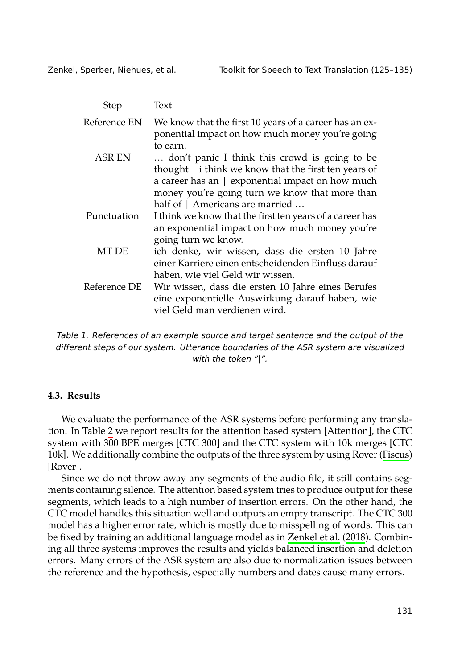| Zenkel, Sperber, Niehues, et al. |  |  |  |
|----------------------------------|--|--|--|
|----------------------------------|--|--|--|

Toolkit for Speech to Text Translation (125-135)

| <b>Step</b>  | Text                                                                                                                                                                                                                                              |
|--------------|---------------------------------------------------------------------------------------------------------------------------------------------------------------------------------------------------------------------------------------------------|
| Reference EN | We know that the first 10 years of a career has an ex-<br>ponential impact on how much money you're going<br>to earn.                                                                                                                             |
| ASR EN       | don't panic I think this crowd is going to be<br>thought $ $ i think we know that the first ten years of<br>a career has an   exponential impact on how much<br>money you're going turn we know that more than<br>half of   Americans are married |
| Punctuation  | I think we know that the first ten years of a career has<br>an exponential impact on how much money you're<br>going turn we know.                                                                                                                 |
| MT DE        | ich denke, wir wissen, dass die ersten 10 Jahre<br>einer Karriere einen entscheidenden Einfluss darauf<br>haben, wie viel Geld wir wissen.                                                                                                        |
| Reference DE | Wir wissen, dass die ersten 10 Jahre eines Berufes<br>eine exponentielle Auswirkung darauf haben, wie<br>viel Geld man verdienen wird.                                                                                                            |

<span id="page-6-0"></span>*Table 1. References of an example source and target sentence and the output of the different steps of our system. Utterance boundaries of the ASR system are visu[alized](#page-8-5) with the token "|".*

#### **4.3. Results**

We evaluate the performance of the ASR systems before performing any translation. In Table 2 we report results for the attention base[d system \[Att](#page-10-1)e[ntion](#page-10-1)], the CTC system with 300 BPE merges [CTC 300] and the CTC system with 10k merges [CTC 10k]. We additionally combine the outputs of the three system by using Rover (Fiscus) [Rover].

Since we do not throw away any segments of the audio file, it still contains segments containing silence. The attention based system tries to produce output for these segments, which leads to a high number of insertion errors. On the other hand, the CTC model handles this situation well and outputs an empty transcript. The CTC 300 model has a higher error rate, which is mostly due to misspelling of words. This can be fixed by training an additional language model as in Zenkel et al. (2018). Combining all three systems improves the results and yields balanced insertion and deletion errors. Many errors of the ASR system are also due to normalization issues between the reference and the hypothesis, especially numbers and dates cause many errors.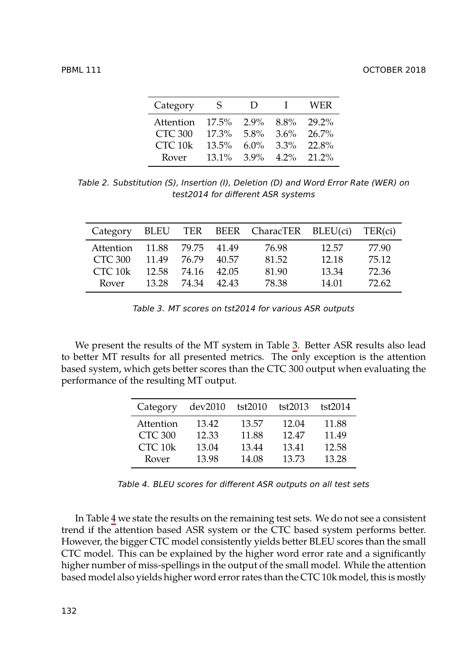PBML 111 CONTROL CONTROL CONTROL CONTROL CONTROL CONTROL CONTROL CONTROL CONTROL CONTROL CONTROL CONTROL CONTROL CONTROL CONTROL CONTROL CONTROL CONTROL CONTROL CONTROL CONTROL CONTROL CONTROL CONTROL CONTROL CONTROL CONTR

| Category           | S.       | $\mathsf{D}$ | $\mathbf{I}$ | WER            |
|--------------------|----------|--------------|--------------|----------------|
| Attention          | $17.5\%$ | $2.9\%$      | $8.8\%$      | 29.2%          |
| CTC 300            | $17.3\%$ | $5.8\%$      | 3.6%         | $26.7\%$       |
| CTC <sub>10k</sub> | $13.5\%$ | 6.0\%        | $3.3\%$      | 22.8%          |
| Rover              | $13.1\%$ | 39%          |              | $4.2\%$ 21.2\% |

*Table 2. Substitution (S), Insertion (I), Deletion (D) and Word Error Rate (WER) on test2014 for different ASR systems*

<span id="page-7-0"></span>

| Category           |       |       |       | BLEU TER BEER CharacTER BLEU(ci) |       | TER(ci) |
|--------------------|-------|-------|-------|----------------------------------|-------|---------|
| Attention          | 11.88 | 79.75 | 41.49 | 76.98                            | 12.57 | 77.90   |
| CTC 300            | 11.49 | 76.79 | 40.57 | 81.52                            | 12.18 | 75.12   |
| CTC <sub>10k</sub> | 12.58 | 74.16 | 42.05 | 81.90                            | 13.34 | 72.36   |
| Rover              | 13.28 | 74.34 | 42.43 | 78.38                            | 14.01 | 72.62   |

*Table 3. MT scores on tst2014 for various ASR outputs*

We present the results of the MT system in Table 3. Better ASR results also lead to better MT results for all presented metrics. The only exception is the attention based system, which gets better scores than the CTC 300 output when evaluating the performance of the resulting MT output.

| Category       | dev2010 | tst2010 | tst2013 | tst2014 |
|----------------|---------|---------|---------|---------|
| Attention      | 13.42   | 13.57   | 12.04   | 11.88   |
| <b>CTC 300</b> | 12.33   | 11.88   | 1247    | 11.49   |
| CTC 10k        | 13.04   | 13.44   | 13.41   | 12.58   |
| Rover          | 13.98   | 14.08   | 13.73   | 13.28   |

*Table 4. BLEU scores for different ASR outputs on all test sets*

In Table 4 we state the results on the remaining test sets. We do not see a consistent trend if the attention based ASR system or the CTC based system performs better. However, the bigger CTC model consistently yields better BLEU scores than the small CTC model. This can be explained by the higher word error rate and a significantly higher number of miss-spellings in the output of the small model. While the attention based model also yields higher word error rates than the CTC 10k model, this is mostly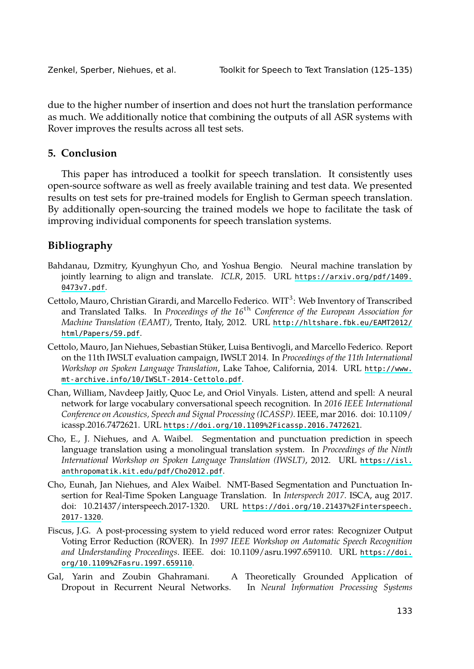|  |  |  | Zenkel, Sperber, Niehues, et al. |  |  |
|--|--|--|----------------------------------|--|--|
|--|--|--|----------------------------------|--|--|

Toolkit for Speech to Text Translation (125–135)

due to the higher number of insertion and does not hurt the translation performance as much. We additionally notice that combining the outputs of all ASR systems with Rover improves the results across all test sets.

# <span id="page-8-0"></span>**5. Conclusion**

<span id="page-8-3"></span>[This pape](https://arxiv.org/pdf/1409.0473v7.pdf)r has introduced a toolkit for speech trans[lation. It consistently uses](https://arxiv.org/pdf/1409.0473v7.pdf) open-source software as well as freely available training and test data. We presented results on test sets for pre-trained models for English to German speech translation. By additionally open-sourcing the trained models [we hope to facilitate the task of](http://hltshare.fbk.eu/EAMT2012/html/Papers/59.pdf) im[proving individual](http://hltshare.fbk.eu/EAMT2012/html/Papers/59.pdf) components for speech translation systems.

# <span id="page-8-4"></span>**Bibliography**

- <span id="page-8-1"></span>Ba[hdanau, Dzmitry, Kyunghyun Cho, and Yoshu](http://www.mt-archive.info/10/IWSLT-2014-Cettolo.pdf)a Bengio. Neural machine tr[anslation by](http://www.mt-archive.info/10/IWSLT-2014-Cettolo.pdf) jointly learning to align and translate. *ICLR*, 2015. URL https://arxiv.org/pdf/1409. 0473v7.pdf.
- Cettolo, Mauro, Christian Girardi, and Marcello Federico. WIT<sup>3</sup>: Web Inventory of Transcribed and Translated Talks. In *Proceedings of the 16*th *[Conference of the European A](https://doi.org/10.1109%2Ficassp.2016.7472621)ssociation for Machine Translation (EAMT)*, Trento, Italy, 2012. URL http://hltshare.fbk.eu/EAMT2012/ html/Papers/59.pdf.
- <span id="page-8-2"></span>Cettolo, Mauro, Jan Niehues, Sebastian Stüker, Luisa Bentivogli, and Marcello Fe[derico. Report](https://isl.anthropomatik.kit.edu/pdf/Cho2012.pdf) [on the 11th IWSLT evaluation campaign, I](https://isl.anthropomatik.kit.edu/pdf/Cho2012.pdf)WSLT 2014. In *Proceedings of the 11th International Workshop on Spoken Language Translation*, Lake Tahoe, California, 2014. URL http://www. mt-archive.info/10/IWSLT-2014-Cettolo.pdf.
- Chan, William, Navdeep Jaitly, Quoc Le, and Orio[l Vinyals. Listen, attend and spell: A neural](https://doi.org/10.21437%2Finterspeech.2017-1320) [network fo](https://doi.org/10.21437%2Finterspeech.2017-1320)r large vocabulary conversational speech recognition. In *2016 IEEE International Conference on Acoustics, Speech and Signal Processing (ICASSP)*. IEEE, mar 2016. doi: 10.1109/ icassp.2016.7472621. URL https://doi.org/10.1109%2Ficassp.2016.7472621.
- <span id="page-8-5"></span>Cho, E., J. Niehues, and A. Waibel. Segmentation and punctuation predict[ion in speech](https://doi.org/10.1109%2Fasru.1997.659110) [language translation using a mon](https://doi.org/10.1109%2Fasru.1997.659110)olingual translation system. In *Proceedings of the Ninth International Workshop on Spoken Language Translation (IWSLT)*, 2012. URL https://isl. anthropomatik.kit.edu/pdf/Cho2012.pdf.
- Cho, Eunah, Jan Niehues, and Alex Waibel. NMT-Based Segmentation and Punctuation Insertion for Real-Time Spoken Language Translation. In *Interspeech 2017*. ISCA, aug 2017. doi: 10.21437/interspeech.2017-1320. URL https://doi.org/10.21437%2Finterspeech. 2017-1320.
- Fiscus, J.G. A post-processing system to yield reduced word error rates: Recognizer Output Voting Error Reduction (ROVER). In *1997 IEEE Workshop on Automatic Speech Recognition and Understanding Proceedings*. IEEE. doi: 10.1109/asru.1997.659110. URL https://doi. org/10.1109%2Fasru.1997.659110.
- Gal, Yarin and Zoubin Ghahramani. A Theoretically Grounded Application of Dropout in Recurrent Neural Networks. In *Neural Information Processing Systems*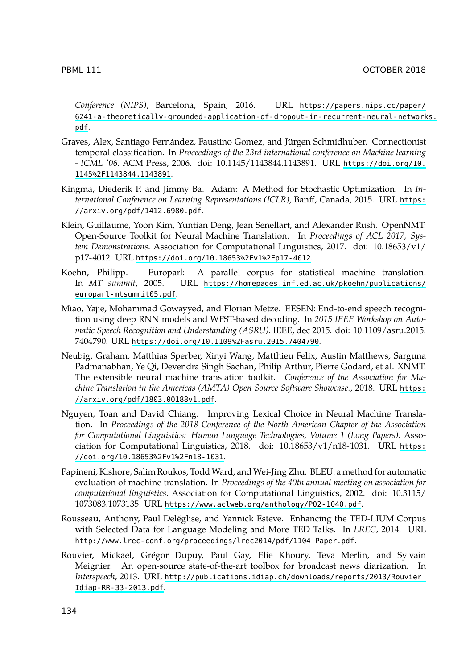#### <span id="page-9-4"></span><span id="page-9-1"></span>PB[ML 111](https://doi.org/10.1145%2F1143844.1143891) OCTOBER 2018

*[Conference \(NIPS\)](https://arxiv.org/pdf/1412.6980.pdf)*, Barcelona, Spain, 2016. URL https://papers.nips.cc/paper/ 6241-a-theoretically-grounded-application-of-dropout-in-recurrent-neural-networks. pdf.

- <span id="page-9-6"></span>Graves, Alex, Santiago Fernández, Faustino Gomez, and Jürgen Schmidhuber. Connectionist temporal classification. In *[Proceedings of the 23rd international](https://doi.org/10.18653%2Fv1%2Fp17-4012) conference on Machine learning - ICML '06*. ACM Press, 2006. doi: 10.1145/1143844.1143891. URL https://doi.org/10. 1145%2F1143844.1143891.
- <span id="page-9-0"></span>Ki[ngma, Diederik P. and Jim](https://homepages.inf.ed.ac.uk/pkoehn/publications/europarl-mtsummit05.pdf)my Ba. Adam: A Method for Stochastic Optimization. In *International Conference on Learning Representations (ICLR)*, Banff, Canada, 2015. URL https: //arxiv.org/pdf/1412.6980.pdf.
- <span id="page-9-2"></span>Klein, Guillaume, Yoon Kim, Yuntian Deng, Jean Senellart, and Alexander Rush. OpenNMT: Open-Source [Toolkit for Neural Machine Translation. In](https://doi.org/10.1109%2Fasru.2015.7404790) *Proceedings of ACL 2017, System Demonstrations*. Association for Computational Linguistics, 2017. doi: 10.18653/v1/ p17-4012. URL https://doi.org/10.18653%2Fv1%2Fp17-4012.
- Koehn, Philipp. Europarl: A parallel corpus for statistical machine translation. In *MT summit*, 2005. URL https://homepages.inf.ed.ac.uk/pkoehn/publica[tions/](https://arxiv.org/pdf/1803.00188v1.pdf) [europarl-mtsummit05.pdf](https://arxiv.org/pdf/1803.00188v1.pdf).
- <span id="page-9-3"></span>Miao, Yajie, Mohammad Gowayyed, and Florian Metze. EESEN: End-to-end speech recognition using deep RNN models and WFST-based decoding. In *2015 IEEE Workshop on Automatic Speech Recognition and Understanding (ASRU)*. IEEE, dec 2015. doi: 10.1109/asr[u.2015.](https://doi.org/10.18653%2Fv1%2Fn18-1031) 7404790. URL [https://doi.org/10.110](https://doi.org/10.18653%2Fv1%2Fn18-1031)9%2Fasru.2015.7404790.
- <span id="page-9-7"></span>Neubig, Graham, Matthias Sperber, Xinyi Wang, Matthieu Felix, Austin Matthews, Sarguna Padmanabhan, Ye Qi, Devendra Singh Sachan, Philip Arthur, Pierre Godard, et al. XNMT: The extensible neural machine translation toolkit. *Conference of the Association for Machine Translation in the [Americas \(AMTA\) Open Source Software Showcase.](https://www.aclweb.org/anthology/P02-1040.pdf)*, 2018. URL https: //arxiv.org/pdf/1803.00188v1.pdf.
- <span id="page-9-5"></span>Nguyen, Toan and David Chiang. Improving Lexical Choice in Neural Machine Translation. In *Proceedings of the 2018 Conference of the North American Chapter of the Association [for Computational Linguistics: Human Language Technologies, Volume 1 \(L](http://www.lrec-conf.org/proceedings/lrec2014/pdf/1104_Paper.pdf)ong Papers)*. Association for Computational Linguistics, 2018. doi: 10.18653/v1/n18-1031. URL https: //doi.org/10.18653%2Fv1%2Fn18-1031.
- Papineni, Kishore, Salim R[oukos, Todd Ward, and Wei-Jing Zhu. BLEU: a method for automatic](http://publications.idiap.ch/downloads/reports/2013/Rouvier_Idiap-RR-33-2013.pdf) [evaluation of machine](http://publications.idiap.ch/downloads/reports/2013/Rouvier_Idiap-RR-33-2013.pdf) translation. In *Proceedings of the 40th annual meeting on association for computational linguistics*. Association for Computational Linguistics, 2002. doi: 10.3115/ 1073083.1073135. URL https://www.aclweb.org/anthology/P02-1040.pdf.
- Rousseau, Anthony, Paul Deléglise, and Yannick Esteve. Enhancing the TED-LIUM Corpus with Selected Data for Language Modeling and More TED Talks. In *LREC*, 2014. URL http://www.lrec-conf.org/proceedings/lrec2014/pdf/1104\_Paper.pdf.
- Rouvier, Mickael, Grégor Dupuy, Paul Gay, Elie Khoury, Teva Merlin, and Sylvain Meignier. An open-source state-of-the-art toolbox for broadcast news diarization. In *Interspeech*, 2013. URL http://publications.idiap.ch/downloads/reports/2013/Rouvier\_ Idiap-RR-33-2013.pdf.